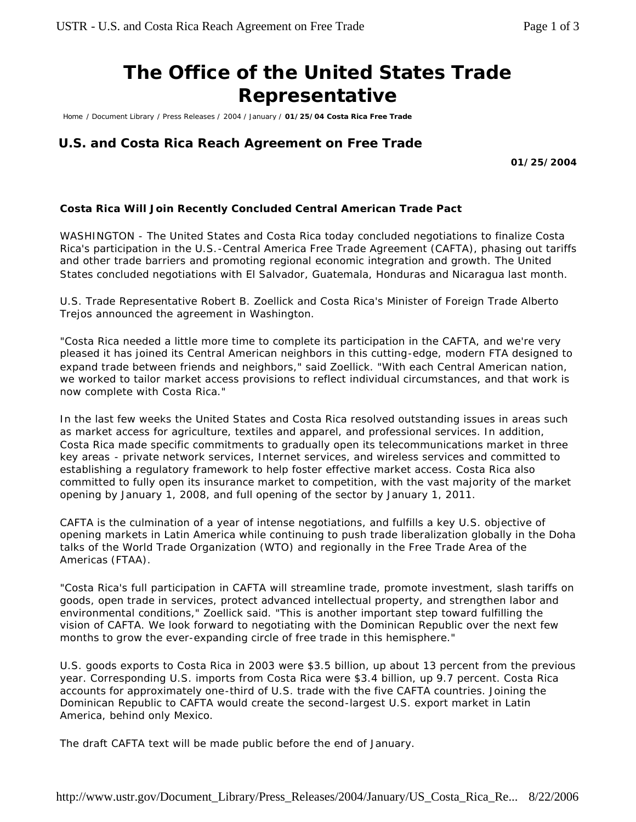## **The Office of the United States Trade Representative**

Home / Document Library / Press Releases / 2004 / January / **01/25/04 Costa Rica Free Trade**

## **U.S. and Costa Rica Reach Agreement on Free Trade**

**01/25/2004**

## *Costa Rica Will Join Recently Concluded Central American Trade Pact*

*WASHINGTON - The United States and Costa Rica today concluded negotiations to finalize Costa Rica's participation in the U.S.-Central America Free Trade Agreement (CAFTA), phasing out tariffs*  and other trade barriers and promoting regional economic integration and growth. The United *States concluded negotiations with El Salvador, Guatemala, Honduras and Nicaragua last month.*

*U.S. Trade Representative Robert B. Zoellick and Costa Rica's Minister of Foreign Trade Alberto Trejos announced the agreement in Washington.*

*"Costa Rica needed a little more time to complete its participation in the CAFTA, and we're very pleased it has joined its Central American neighbors in this cutting-edge, modern FTA designed to expand trade between friends and neighbors," said Zoellick. "With each Central American nation, we worked to tailor market access provisions to reflect individual circumstances, and that work is now complete with Costa Rica."* 

*In the last few weeks the United States and Costa Rica resolved outstanding issues in areas such as market access for agriculture, textiles and apparel, and professional services. In addition, Costa Rica made specific commitments to gradually open its telecommunications market in three key areas - private network services, Internet services, and wireless services and committed to establishing a regulatory framework to help foster effective market access. Costa Rica also committed to fully open its insurance market to competition, with the vast majority of the market opening by January 1, 2008, and full opening of the sector by January 1, 2011.*

*CAFTA is the culmination of a year of intense negotiations, and fulfills a key U.S. objective of opening markets in Latin America while continuing to push trade liberalization globally in the Doha talks of the World Trade Organization (WTO) and regionally in the Free Trade Area of the Americas (FTAA).*

*"Costa Rica's full participation in CAFTA will streamline trade, promote investment, slash tariffs on goods, open trade in services, protect advanced intellectual property, and strengthen labor and environmental conditions," Zoellick said. "This is another important step toward fulfilling the vision of CAFTA. We look forward to negotiating with the Dominican Republic over the next few months to grow the ever-expanding circle of free trade in this hemisphere."*

*U.S. goods exports to Costa Rica in 2003 were \$3.5 billion, up about 13 percent from the previous year. Corresponding U.S. imports from Costa Rica were \$3.4 billion, up 9.7 percent. Costa Rica accounts for approximately one-third of U.S. trade with the five CAFTA countries. Joining the Dominican Republic to CAFTA would create the second-largest U.S. export market in Latin America, behind only Mexico.*

*The draft CAFTA text will be made public before the end of January.*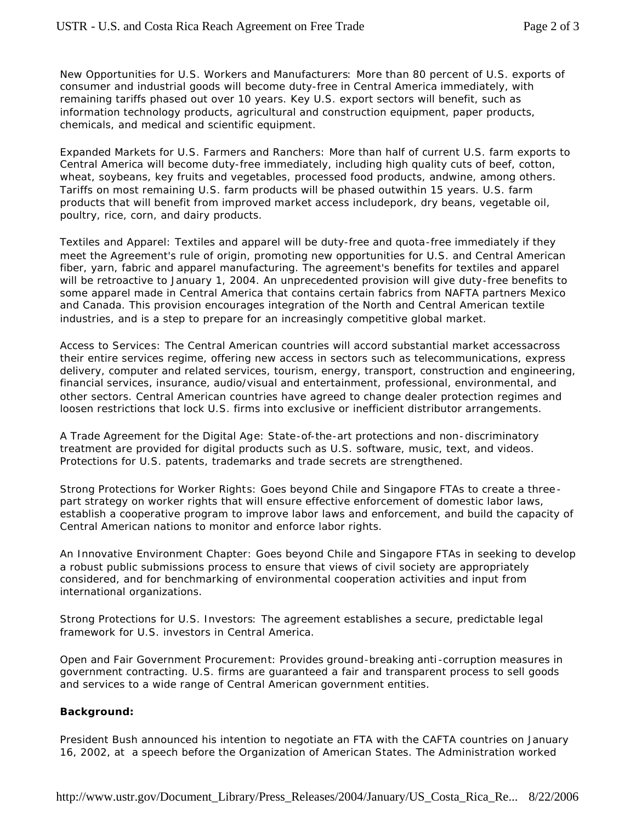*New Opportunities for U.S. Workers and Manufacturers: More than 80 percent of U.S. exports of consumer and industrial goods will become duty-free in Central America immediately, with remaining tariffs phased out over 10 years. Key U.S. export sectors will benefit, such as information technology products, agricultural and construction equipment, paper products, chemicals, and medical and scientific equipment.*

*Expanded Markets for U.S. Farmers and Ranchers: More than half of current U.S. farm exports to Central America will become duty-free immediately, including high quality cuts of beef, cotton, wheat, soybeans, key fruits and vegetables, processed food products, andwine, among others. Tariffs on most remaining U.S. farm products will be phased outwithin 15 years. U.S. farm products that will benefit from improved market access includepork, dry beans, vegetable oil, poultry, rice, corn, and dairy products.*

*Textiles and Apparel: Textiles and apparel will be duty-free and quota-free immediately if they meet the Agreement's rule of origin, promoting new opportunities for U.S. and Central American fiber, yarn, fabric and apparel manufacturing. The agreement's benefits for textiles and apparel will be retroactive to January 1, 2004. An unprecedented provision will give duty-free benefits to some apparel made in Central America that contains certain fabrics from NAFTA partners Mexico and Canada. This provision encourages integration of the North and Central American textile industries, and is a step to prepare for an increasingly competitive global market.*

*Access to Services: The Central American countries will accord substantial market accessacross their entire services regime, offering new access in sectors such as telecommunications, express delivery, computer and related services, tourism, energy, transport, construction and engineering, financial services, insurance, audio/visual and entertainment, professional, environmental, and other sectors. Central American countries have agreed to change dealer protection regimes and loosen restrictions that lock U.S. firms into exclusive or inefficient distributor arrangements.*

*A Trade Agreement for the Digital Age: State-of-the-art protections and non-discriminatory treatment are provided for digital products such as U.S. software, music, text, and videos. Protections for U.S. patents, trademarks and trade secrets are strengthened.*

*Strong Protections for Worker Rights: Goes beyond Chile and Singapore FTAs to create a three part strategy on worker rights that will ensure effective enforcement of domestic labor laws,*  establish a cooperative program to improve labor laws and enforcement, and build the capacity of *Central American nations to monitor and enforce labor rights.*

*An Innovative Environment Chapter: Goes beyond Chile and Singapore FTAs in seeking to develop a robust public submissions process to ensure that views of civil society are appropriately considered, and for benchmarking of environmental cooperation activities and input from international organizations.*

*Strong Protections for U.S. Investors: The agreement establishes a secure, predictable legal framework for U.S. investors in Central America.*

*Open and Fair Government Procurement: Provides ground-breaking anti -corruption measures in government contracting. U.S. firms are guaranteed a fair and transparent process to sell goods and services to a wide range of Central American government entities.*

## *Background:*

*President Bush announced his intention to negotiate an FTA with the CAFTA countries on January 16, 2002, at a speech before the Organization of American States. The Administration worked*